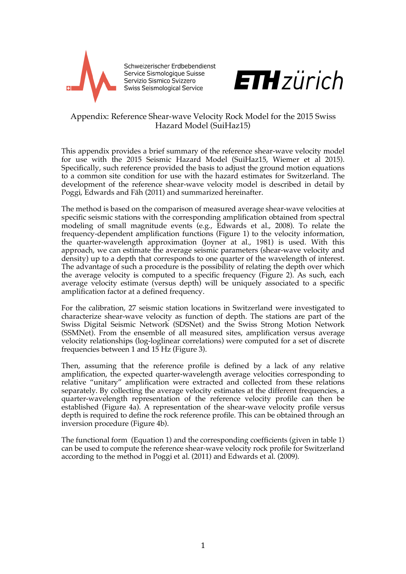

Schweizerischer Erdbebendienst Service Sismologique Suisse Servizio Sismico Svizzero Swiss Seismological Service



## Appendix: Reference Shear-wave Velocity Rock Model for the 2015 Swiss Hazard Model (SuiHaz15)

This appendix provides a brief summary of the reference shear-wave velocity model for use with the 2015 Seismic Hazard Model (SuiHaz15, Wiemer et al 2015). Specifically, such reference provided the basis to adjust the ground motion equations to a common site condition for use with the hazard estimates for Switzerland. The development of the reference shear-wave velocity model is described in detail by Poggi, Edwards and Fäh (2011) and summarized hereinafter.

The method is based on the comparison of measured average shear-wave velocities at specific seismic stations with the corresponding amplification obtained from spectral modeling of small magnitude events (e.g., Edwards et al., 2008). To relate the frequency-dependent amplification functions (Figure 1) to the velocity information, the quarter-wavelength approximation (Joyner at al., 1981) is used. With this approach, we can estimate the average seismic parameters (shear-wave velocity and density) up to a depth that corresponds to one quarter of the wavelength of interest. The advantage of such a procedure is the possibility of relating the depth over which the average velocity is computed to a specific frequency (Figure 2). As such, each average velocity estimate (versus depth) will be uniquely associated to a specific amplification factor at a defined frequency.

For the calibration, 27 seismic station locations in Switzerland were investigated to characterize shear-wave velocity as function of depth. The stations are part of the Swiss Digital Seismic Network (SDSNet) and the Swiss Strong Motion Network (SSMNet). From the ensemble of all measured sites, amplification versus average velocity relationships (log-loglinear correlations) were computed for a set of discrete frequencies between 1 and 15 Hz (Figure 3).

Then, assuming that the reference profile is defined by a lack of any relative amplification, the expected quarter-wavelength average velocities corresponding to relative "unitary" amplification were extracted and collected from these relations separately. By collecting the average velocity estimates at the different frequencies, a quarter-wavelength representation of the reference velocity profile can then be established (Figure 4a). A representation of the shear-wave velocity profile versus depth is required to define the rock reference profile. This can be obtained through an inversion procedure (Figure 4b).

The functional form (Equation 1) and the corresponding coefficients (given in table 1) can be used to compute the reference shear-wave velocity rock profile for Switzerland according to the method in Poggi et al. (2011) and Edwards et al. (2009).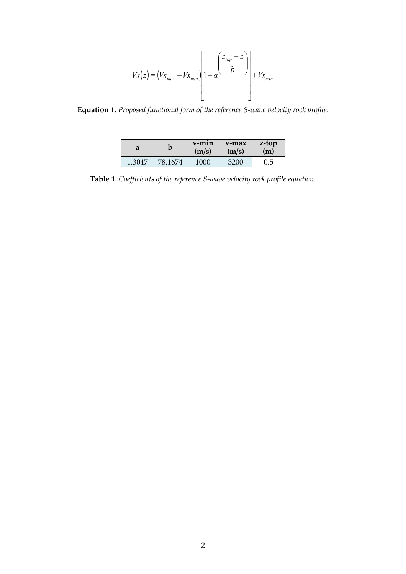$$
V_{S}(z) = (V_{S_{max}} - V_{S_{min}}) \left[ 1 - a \frac{\left(\frac{z_{top} - z}{b}\right)}{1 - z}\right] + V_{S_{min}}
$$

Equation 1. Proposed functional form of the reference S-wave velocity rock profile.

| a      |         | $V$ -m $1n$<br>(m/s) | $v$ -max<br>(m/s) | z-top<br>(m) |
|--------|---------|----------------------|-------------------|--------------|
| 1.3047 | 78.1674 | 1000                 | 3200              | $0.5\,$      |

Table 1. Coefficients of the reference S-wave velocity rock profile equation.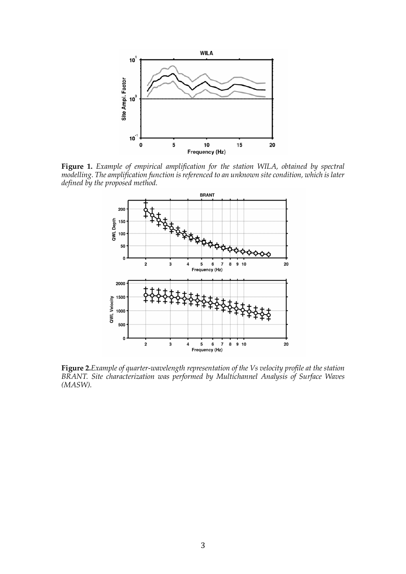

**Figure 1.** *Example of empirical amplification for the station WILA, obtained by spectral modelling. The amplification function is referenced to an unknown site condition, which is later defined by the proposed method.*



**Figure 2.***Example of quarter-wavelength representation of the Vs velocity profile at the station BRANT. Site characterization was performed by Multichannel Analysis of Surface Waves (MASW).*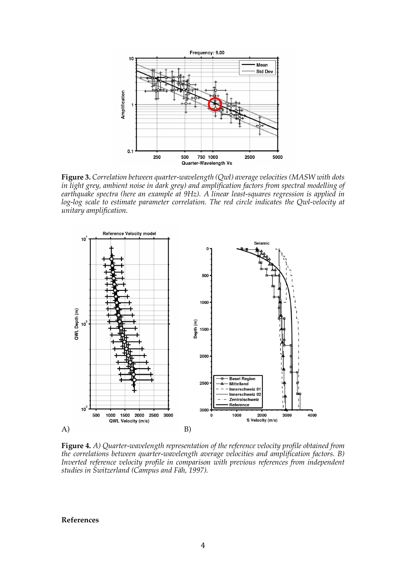

**Figure 3.** *Correlation between quarter-wavelength (Qwl) average velocities (MASW with dots in light grey, ambient noise in dark grey) and amplification factors from spectral modelling of earthquake spectra (here an example at 9Hz). A linear least-squares regression is applied in log-log scale to estimate parameter correlation. The red circle indicates the Qwl-velocity at unitary amplification.*



**Figure 4.** *A) Quarter-wavelength representation of the reference velocity profile obtained from the correlations between quarter-wavelength average velocities and amplification factors. B) Inverted reference velocity profile in comparison with previous references from independent studies in Switzerland (Campus and Fäh, 1997).*

## **References**